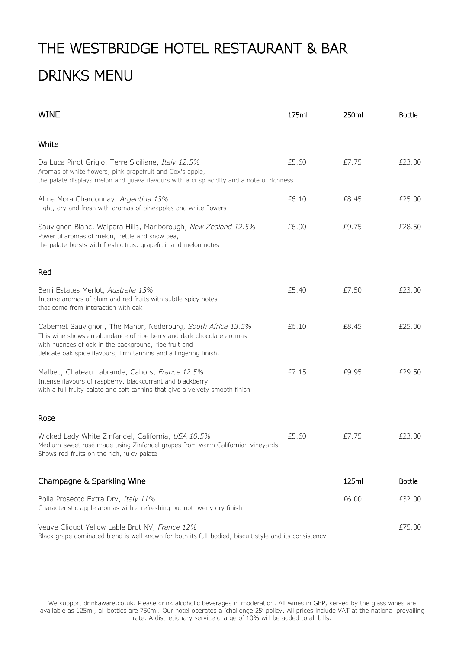## THE WESTBRIDGE HOTEL RESTAURANT & BAR DRINKS MENU

| <b>WINE</b>                                                                                                                                                                                                                                                        | 175ml | 250ml | <b>Bottle</b> |
|--------------------------------------------------------------------------------------------------------------------------------------------------------------------------------------------------------------------------------------------------------------------|-------|-------|---------------|
| White                                                                                                                                                                                                                                                              |       |       |               |
| Da Luca Pinot Grigio, Terre Siciliane, Italy 12.5%<br>Aromas of white flowers, pink grapefruit and Cox's apple,<br>the palate displays melon and guava flavours with a crisp acidity and a note of richness                                                        | £5.60 | £7.75 | £23.00        |
| Alma Mora Chardonnay, Argentina 13%<br>Light, dry and fresh with aromas of pineapples and white flowers                                                                                                                                                            | £6.10 | £8.45 | £25.00        |
| Sauvignon Blanc, Waipara Hills, Marlborough, New Zealand 12.5%<br>Powerful aromas of melon, nettle and snow pea,<br>the palate bursts with fresh citrus, grapefruit and melon notes                                                                                | £6.90 | £9.75 | £28.50        |
| Red                                                                                                                                                                                                                                                                |       |       |               |
| Berri Estates Merlot, Australia 13%<br>Intense aromas of plum and red fruits with subtle spicy notes<br>that come from interaction with oak                                                                                                                        | £5.40 | £7.50 | £23.00        |
| Cabernet Sauvignon, The Manor, Nederburg, South Africa 13.5%<br>This wine shows an abundance of ripe berry and dark chocolate aromas<br>with nuances of oak in the background, ripe fruit and<br>delicate oak spice flavours, firm tannins and a lingering finish. | £6.10 | £8.45 | £25.00        |
| Malbec, Chateau Labrande, Cahors, France 12.5%<br>Intense flavours of raspberry, blackcurrant and blackberry<br>with a full fruity palate and soft tannins that give a velvety smooth finish                                                                       | £7.15 | £9.95 | £29.50        |
| Rose                                                                                                                                                                                                                                                               |       |       |               |
| Wicked Lady White Zinfandel, California, USA 10.5%<br>Medium-sweet rosé made using Zinfandel grapes from warm Californian vineyards<br>Shows red-fruits on the rich, juicy palate                                                                                  | £5.60 | £7.75 | £23.00        |
| Champagne & Sparkling Wine                                                                                                                                                                                                                                         |       | 125ml | <b>Bottle</b> |
| Bolla Prosecco Extra Dry, Italy 11%<br>Characteristic apple aromas with a refreshing but not overly dry finish                                                                                                                                                     |       | £6.00 | £32.00        |
| Veuve Cliquot Yellow Lable Brut NV, France 12%<br>Black grape dominated blend is well known for both its full-bodied, biscuit style and its consistency                                                                                                            |       |       | £75.00        |